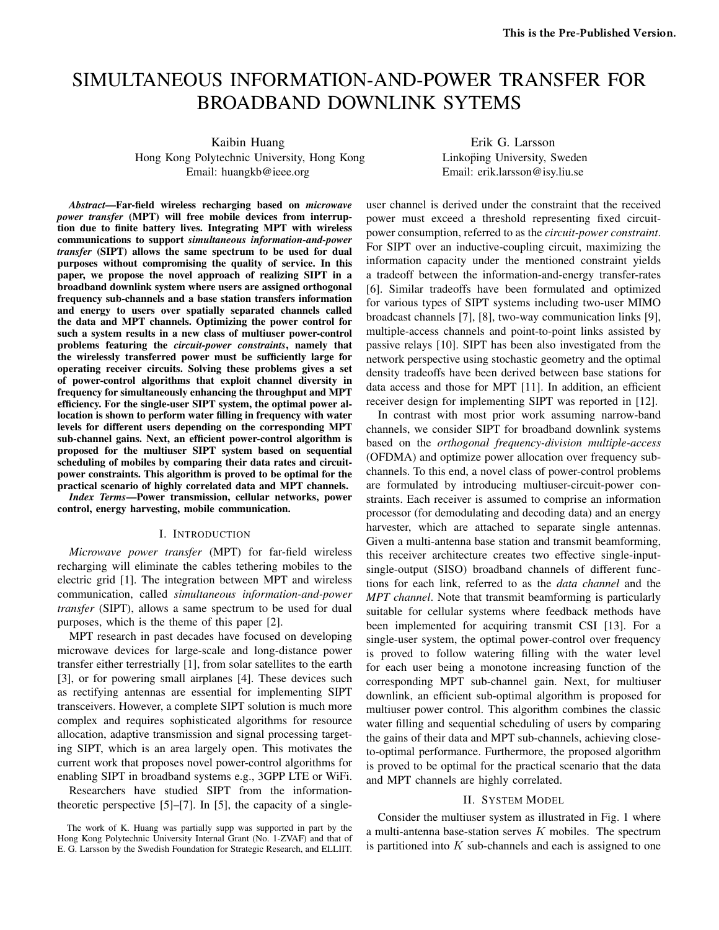# SIMULTANEOUS INFORMATION-AND-POWER TRANSFER FOR BROADBAND DOWNLINK SYTEMS

Kaibin Huang

Hong Kong Polytechnic University, Hong Kong Email: huangkb@ieee.org

Erik G. Larsson Linkoping University, Sweden Email: erik.larsson@isy.liu.se

*Abstract*—Far-field wireless recharging based on *microwave power transfer* (MPT) will free mobile devices from interruption due to finite battery lives. Integrating MPT with wireless communications to support *simultaneous information-and-power transfer* (SIPT) allows the same spectrum to be used for dual purposes without compromising the quality of service. In this paper, we propose the novel approach of realizing SIPT in a broadband downlink system where users are assigned orthogonal frequency sub-channels and a base station transfers information and energy to users over spatially separated channels called the data and MPT channels. Optimizing the power control for such a system results in a new class of multiuser power-control problems featuring the *circuit-power constraints*, namely that the wirelessly transferred power must be sufficiently large for operating receiver circuits. Solving these problems gives a set of power-control algorithms that exploit channel diversity in frequency for simultaneously enhancing the throughput and MPT efficiency. For the single-user SIPT system, the optimal power allocation is shown to perform water filling in frequency with water levels for different users depending on the corresponding MPT sub-channel gains. Next, an efficient power-control algorithm is proposed for the multiuser SIPT system based on sequential scheduling of mobiles by comparing their data rates and circuitpower constraints. This algorithm is proved to be optimal for the practical scenario of highly correlated data and MPT channels.

*Index Terms*—Power transmission, cellular networks, power control, energy harvesting, mobile communication.

#### I. INTRODUCTION

*Microwave power transfer* (MPT) for far-field wireless recharging will eliminate the cables tethering mobiles to the electric grid [1]. The integration between MPT and wireless communication, called *simultaneous information-and-power transfer* (SIPT), allows a same spectrum to be used for dual purposes, which is the theme of this paper [2].

MPT research in past decades have focused on developing microwave devices for large-scale and long-distance power transfer either terrestrially [1], from solar satellites to the earth [3], or for powering small airplanes [4]. These devices such as rectifying antennas are essential for implementing SIPT transceivers. However, a complete SIPT solution is much more complex and requires sophisticated algorithms for resource allocation, adaptive transmission and signal processing targeting SIPT, which is an area largely open. This motivates the current work that proposes novel power-control algorithms for enabling SIPT in broadband systems e.g., 3GPP LTE or WiFi.

Researchers have studied SIPT from the informationtheoretic perspective [5]–[7]. In [5], the capacity of a singleuser channel is derived under the constraint that the received power must exceed a threshold representing fixed circuitpower consumption, referred to as the *circuit-power constraint*. For SIPT over an inductive-coupling circuit, maximizing the information capacity under the mentioned constraint yields a tradeoff between the information-and-energy transfer-rates [6]. Similar tradeoffs have been formulated and optimized for various types of SIPT systems including two-user MIMO broadcast channels [7], [8], two-way communication links [9], multiple-access channels and point-to-point links assisted by passive relays [10]. SIPT has been also investigated from the network perspective using stochastic geometry and the optimal density tradeoffs have been derived between base stations for data access and those for MPT [11]. In addition, an efficient receiver design for implementing SIPT was reported in [12].

In contrast with most prior work assuming narrow-band channels, we consider SIPT for broadband downlink systems based on the *orthogonal frequency-division multiple-access* (OFDMA) and optimize power allocation over frequency subchannels. To this end, a novel class of power-control problems are formulated by introducing multiuser-circuit-power constraints. Each receiver is assumed to comprise an information processor (for demodulating and decoding data) and an energy harvester, which are attached to separate single antennas. Given a multi-antenna base station and transmit beamforming, this receiver architecture creates two effective single-inputsingle-output (SISO) broadband channels of different functions for each link, referred to as the *data channel* and the *MPT channel*. Note that transmit beamforming is particularly suitable for cellular systems where feedback methods have been implemented for acquiring transmit CSI [13]. For a single-user system, the optimal power-control over frequency is proved to follow watering filling with the water level for each user being a monotone increasing function of the corresponding MPT sub-channel gain. Next, for multiuser downlink, an efficient sub-optimal algorithm is proposed for multiuser power control. This algorithm combines the classic water filling and sequential scheduling of users by comparing the gains of their data and MPT sub-channels, achieving closeto-optimal performance. Furthermore, the proposed algorithm is proved to be optimal for the practical scenario that the data and MPT channels are highly correlated.

# II. SYSTEM MODEL

Consider the multiuser system as illustrated in Fig. 1 where a multi-antenna base-station serves  $K$  mobiles. The spectrum is partitioned into  $K$  sub-channels and each is assigned to one

The work of K. Huang was partially supp was supported in part by the Hong Kong Polytechnic University Internal Grant (No. 1-ZVAF) and that of E. G. Larsson by the Swedish Foundation for Strategic Research, and ELLIIT.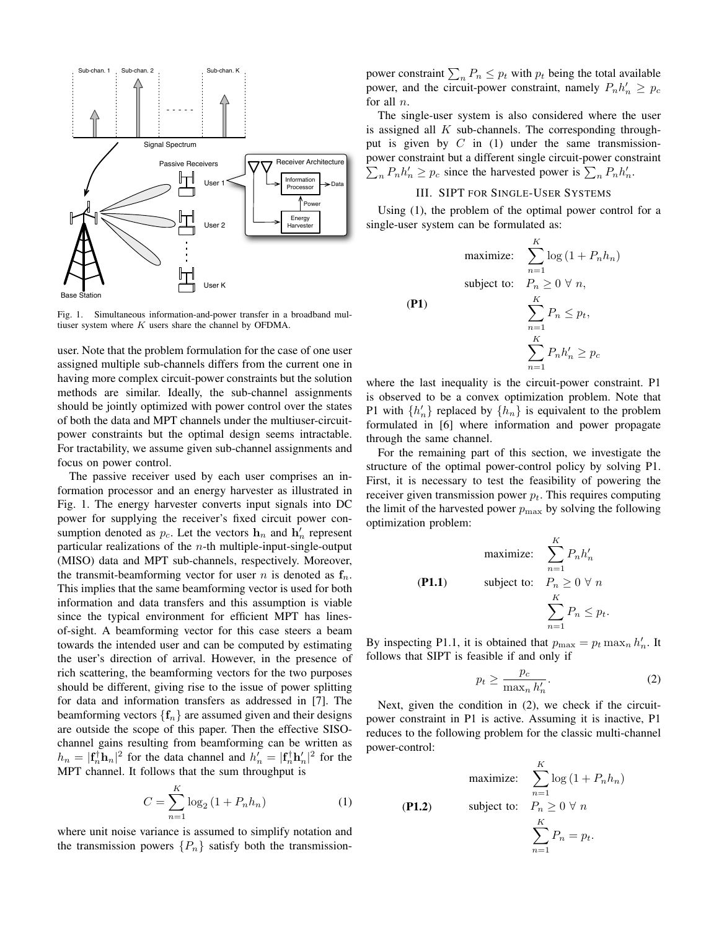

Fig. 1. Simultaneous information-and-power transfer in a broadband multiuser system where  $K$  users share the channel by OFDMA.

user. Note that the problem formulation for the case of one user assigned multiple sub-channels differs from the current one in having more complex circuit-power constraints but the solution methods are similar. Ideally, the sub-channel assignments should be jointly optimized with power control over the states of both the data and MPT channels under the multiuser-circuitpower constraints but the optimal design seems intractable. For tractability, we assume given sub-channel assignments and focus on power control.

The passive receiver used by each user comprises an information processor and an energy harvester as illustrated in Fig. 1. The energy harvester converts input signals into DC power for supplying the receiver's fixed circuit power consumption denoted as  $p_c$ . Let the vectors  $\mathbf{h}_n$  and  $\mathbf{h}'_n$  represent particular realizations of the  $n$ -th multiple-input-single-output (MISO) data and MPT sub-channels, respectively. Moreover, the transmit-beamforming vector for user *n* is denoted as  $f_n$ . This implies that the same beamforming vector is used for both information and data transfers and this assumption is viable since the typical environment for efficient MPT has linesof-sight. A beamforming vector for this case steers a beam towards the intended user and can be computed by estimating the user's direction of arrival. However, in the presence of rich scattering, the beamforming vectors for the two purposes should be different, giving rise to the issue of power splitting for data and information transfers as addressed in [7]. The beamforming vectors  ${f_n}$  are assumed given and their designs are outside the scope of this paper. Then the effective SISOchannel gains resulting from beamforming can be written as  $h_n = |\mathbf{f}_n^{\dagger} \mathbf{h}_n|^2$  for the data channel and  $h'_n = |\mathbf{f}_n^{\dagger} \mathbf{h}'_n|^2$  for the MPT channel. It follows that the sum throughput is

$$
C = \sum_{n=1}^{K} \log_2 (1 + P_n h_n)
$$
 (1)

where unit noise variance is assumed to simplify notation and the transmission powers  $\{P_n\}$  satisfy both the transmissionpower constraint  $\sum_{n} P_n \leq p_t$  with  $p_t$  being the total available power, and the circuit-power constraint, namely  $P_n h'_n \geq p_c$ for all  $n$ .

The single-user system is also considered where the user is assigned all  $K$  sub-channels. The corresponding throughput is given by  $C$  in (1) under the same transmissionpower constraint but a different single circuit-power constraint  $\sum_{n} P_n h'_n \geq p_c$  since the harvested power is  $\sum_{n} P_n h'_n$ .

# III. SIPT FOR SINGLE-USER SYSTEMS

Using (1), the problem of the optimal power control for a single-user system can be formulated as:

maximize: 
$$
\sum_{n=1}^{K} \log (1 + P_n h_n)
$$
  
subject to: 
$$
P_n \ge 0 \ \forall n,
$$
  
(P1)  

$$
\sum_{n=1}^{K} P_n \le p_t,
$$
  

$$
\sum_{n=1}^{K} P_n h'_n \ge p_c
$$

where the last inequality is the circuit-power constraint. P1 is observed to be a convex optimization problem. Note that P1 with  $\{h'_n\}$  replaced by  $\{h_n\}$  is equivalent to the problem formulated in [6] where information and power propagate through the same channel.

For the remaining part of this section, we investigate the structure of the optimal power-control policy by solving P1. First, it is necessary to test the feasibility of powering the receiver given transmission power  $p_t$ . This requires computing the limit of the harvested power  $p_{\text{max}}$  by solving the following optimization problem:

maximize: 
$$
\sum_{n=1}^{K} P_n h'_n
$$

\n(P1.1) **subject to:** 
$$
P_n \geq 0 \ \forall \ n
$$

\n
$$
\sum_{n=1}^{K} P_n \leq p_t.
$$

By inspecting P1.1, it is obtained that  $p_{\text{max}} = p_t \max_n h'_n$ . It follows that SIPT is feasible if and only if

$$
p_t \ge \frac{p_c}{\max_n h'_n}.\tag{2}
$$

Next, given the condition in (2), we check if the circuitpower constraint in P1 is active. Assuming it is inactive, P1 reduces to the following problem for the classic multi-channel power-control:

maximize: 
$$
\sum_{n=1}^{K} \log (1 + P_n h_n)
$$

\n(P1.2) 
$$
\text{subject to: } P_n \geq 0 \,\forall \, n
$$

\n
$$
\sum_{n=1}^{K} P_n = p_t.
$$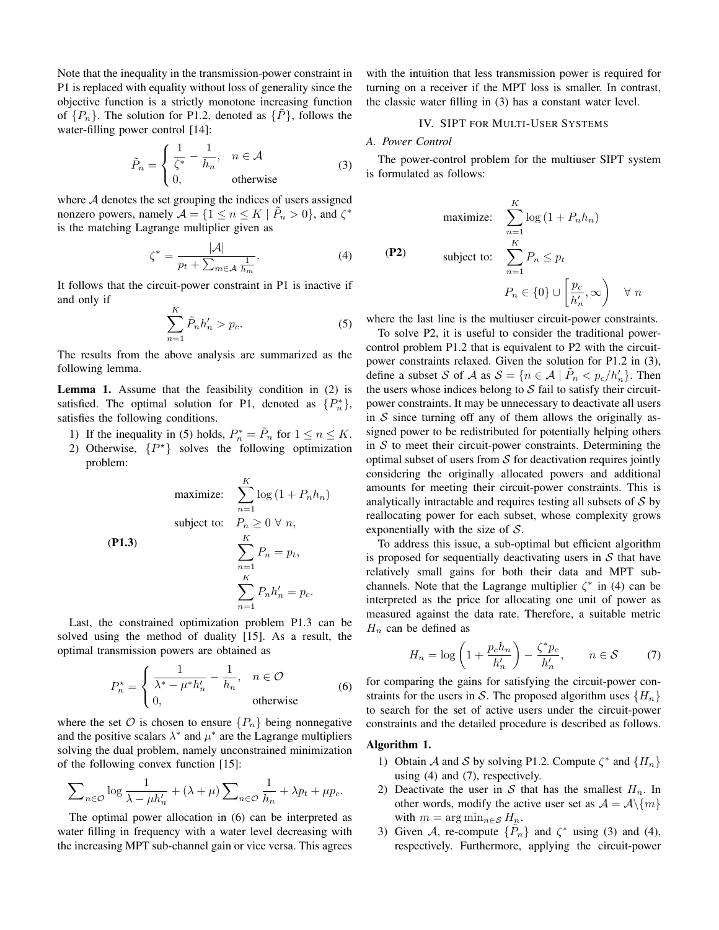Note that the inequality in the transmission-power constraint in P1 is replaced with equality without loss of generality since the objective function is a strictly monotone increasing function of  $\{P_n\}$ . The solution for P1.2, denoted as  $\{\tilde{P}\}\$ , follows the water-filling power control [14]:

$$
\tilde{P}_n = \begin{cases} \frac{1}{\zeta^*} - \frac{1}{h_n}, & n \in \mathcal{A} \\ 0, & \text{otherwise} \end{cases}
$$
 (3)

where A denotes the set grouping the indices of users assigned nonzero powers, namely  $\mathcal{A} = \{1 \le n \le K \mid \tilde{P}_n > 0\}$ , and  $\zeta^*$ is the matching Lagrange multiplier given as

$$
\zeta^* = \frac{|\mathcal{A}|}{p_t + \sum_{m \in \mathcal{A}} \frac{1}{h_m}}.\tag{4}
$$

It follows that the circuit-power constraint in P1 is inactive if and only if

$$
\sum_{n=1}^{K} \tilde{P}_n h'_n > p_c.
$$
 (5)

The results from the above analysis are summarized as the following lemma.

Lemma 1. Assume that the feasibility condition in (2) is satisfied. The optimal solution for P1, denoted as  $\{P_n^*\},$ satisfies the following conditions.

- 1) If the inequality in (5) holds,  $P_n^* = \tilde{P}_n$  for  $1 \le n \le K$ .
- 2) Otherwise,  $\{P^*\}$  solves the following optimization problem:

maximize: 
$$
\sum_{n=1}^{K} \log (1 + P_n h_n)
$$
  
subject to: 
$$
P_n \ge 0 \forall n,
$$
  
**(P1.3)**
$$
\sum_{n=1}^{K} P_n = p_t,
$$

$$
\sum_{n=1}^{K} P_n h'_n = p_c.
$$

Last, the constrained optimization problem P1.3 can be solved using the method of duality [15]. As a result, the optimal transmission powers are obtained as

$$
P_n^* = \begin{cases} \frac{1}{\lambda^* - \mu^* h'_n} - \frac{1}{h_n}, & n \in \mathcal{O} \\ 0, & \text{otherwise} \end{cases}
$$
 (6)

where the set  $\mathcal O$  is chosen to ensure  $\{P_n\}$  being nonnegative and the positive scalars  $\lambda^*$  and  $\mu^*$  are the Lagrange multipliers solving the dual problem, namely unconstrained minimization of the following convex function [15]:

$$
\sum_{n \in \mathcal{O}} \log \frac{1}{\lambda - \mu h'_n} + (\lambda + \mu) \sum_{n \in \mathcal{O}} \frac{1}{h_n} + \lambda p_t + \mu p_c.
$$

The optimal power allocation in (6) can be interpreted as water filling in frequency with a water level decreasing with the increasing MPT sub-channel gain or vice versa. This agrees

with the intuition that less transmission power is required for turning on a receiver if the MPT loss is smaller. In contrast, the classic water filling in (3) has a constant water level.

# IV. SIPT FOR MULTI-USER SYSTEMS

#### *A. Power Control*

(P2)

The power-control problem for the multiuser SIPT system is formulated as follows:

$$
\begin{aligned}\n\text{maximize:} & \quad \sum_{n=1}^{K} \log \left( 1 + P_n h_n \right) \\
\text{subject to:} & \quad \sum_{n=1}^{K} P_n \le p_t \\
P_n &\in \{0\} \cup \left[ \frac{p_c}{h'_n}, \infty \right) \quad \forall \ n\n\end{aligned}
$$

where the last line is the multiuser circuit-power constraints.

To solve P2, it is useful to consider the traditional powercontrol problem P1.2 that is equivalent to P2 with the circuitpower constraints relaxed. Given the solution for P1.2 in (3), define a subset S of A as  $S = \{n \in A \mid \tilde{P}_n < p_c/h'_n\}$ . Then the users whose indices belong to  $S$  fail to satisfy their circuitpower constraints. It may be unnecessary to deactivate all users in  $S$  since turning off any of them allows the originally assigned power to be redistributed for potentially helping others in  $S$  to meet their circuit-power constraints. Determining the optimal subset of users from  $S$  for deactivation requires jointly considering the originally allocated powers and additional amounts for meeting their circuit-power constraints. This is analytically intractable and requires testing all subsets of  $S$  by reallocating power for each subset, whose complexity grows exponentially with the size of  $S$ .

To address this issue, a sub-optimal but efficient algorithm is proposed for sequentially deactivating users in  $S$  that have relatively small gains for both their data and MPT subchannels. Note that the Lagrange multiplier  $\zeta^*$  in (4) can be interpreted as the price for allocating one unit of power as measured against the data rate. Therefore, a suitable metric  $H_n$  can be defined as

$$
H_n = \log\left(1 + \frac{p_c h_n}{h'_n}\right) - \frac{\zeta^* p_c}{h'_n}, \qquad n \in \mathcal{S} \tag{7}
$$

for comparing the gains for satisfying the circuit-power constraints for the users in S. The proposed algorithm uses  $\{H_n\}$ to search for the set of active users under the circuit-power constraints and the detailed procedure is described as follows.

### Algorithm 1.

- 1) Obtain A and S by solving P1.2. Compute  $\zeta^*$  and  $\{H_n\}$ using (4) and (7), respectively.
- 2) Deactivate the user in S that has the smallest  $H_n$ . In other words, modify the active user set as  $\mathcal{A} = \mathcal{A}\backslash\{m\}$ with  $m = \arg \min_{n \in \mathcal{S}} H_n$ .
- 3) Given A, re-compute  $\{\tilde{P}_n\}$  and  $\zeta^*$  using (3) and (4), respectively. Furthermore, applying the circuit-power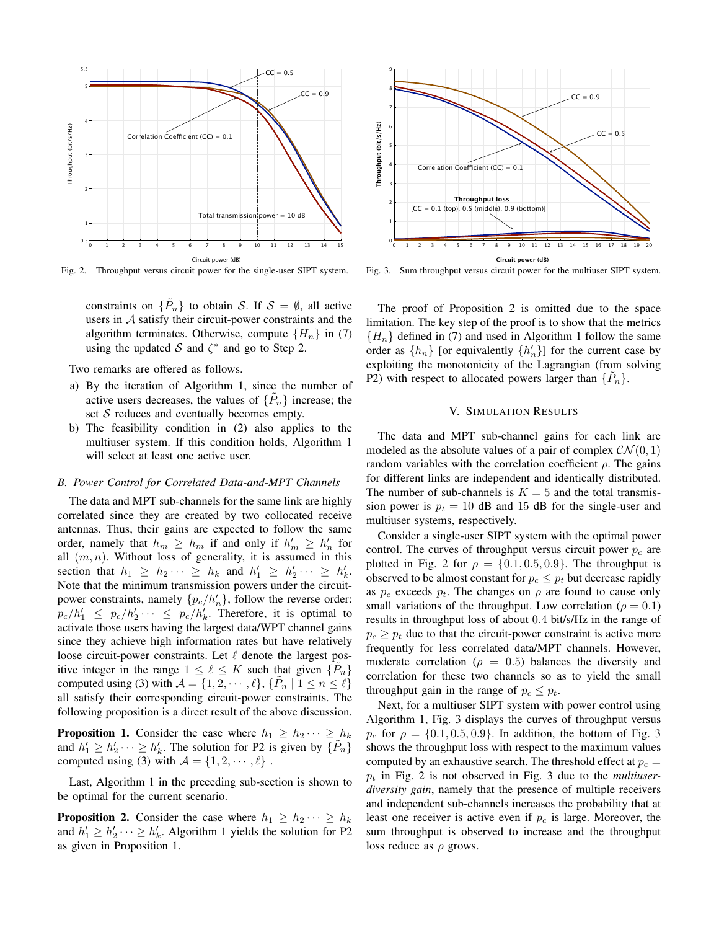

Fig. 2. Throughput versus circuit power for the single-user SIPT system.

constraints on  $\{\tilde{P}_n\}$  to obtain S. If  $S = \emptyset$ , all active users in  $A$  satisfy their circuit-power constraints and the algorithm terminates. Otherwise, compute  ${H_n}$  in (7) using the updated S and  $\zeta^*$  and go to Step 2.

Two remarks are offered as follows.

- a) By the iteration of Algorithm 1, since the number of active users decreases, the values of  $\{\tilde{P}_n\}$  increase; the set  $S$  reduces and eventually becomes empty.
- b) The feasibility condition in (2) also applies to the multiuser system. If this condition holds, Algorithm 1 will select at least one active user.

## *B. Power Control for Correlated Data-and-MPT Channels*

The data and MPT sub-channels for the same link are highly correlated since they are created by two collocated receive antennas. Thus, their gains are expected to follow the same order, namely that  $h_m \geq h_m$  if and only if  $h'_m \geq h'_n$  for all  $(m, n)$ . Without loss of generality, it is assumed in this section that  $h_1 \geq h_2 \cdots \geq h_k$  and  $h'_1 \geq h'_2 \cdots \geq h'_k$ . Note that the minimum transmission powers under the circuitpower constraints, namely  $\{p_c/h'_n\}$ , follow the reverse order:  $p_c/h'_1 \leq p_c/h'_2 \cdots \leq p_c/h'_k$ . Therefore, it is optimal to activate those users having the largest data/WPT channel gains since they achieve high information rates but have relatively loose circuit-power constraints. Let  $\ell$  denote the largest positive integer in the range  $1 \leq \ell \leq K$  such that given  $\{P_n\}$ computed using (3) with  $\mathcal{A} = \{1, 2, \cdots, \ell\}, \{\tilde{P}_n \mid 1 \le n \le \ell\}$ all satisfy their corresponding circuit-power constraints. The following proposition is a direct result of the above discussion.

**Proposition 1.** Consider the case where  $h_1 \geq h_2 \cdots \geq h_k$ and  $h'_1 \ge h'_2 \cdots \ge h'_k$ . The solution for P2 is given by  $\{\tilde{P}_n\}$ computed using (3) with  $A = \{1, 2, \dots, \ell\}$ .

Last, Algorithm 1 in the preceding sub-section is shown to be optimal for the current scenario.

**Proposition 2.** Consider the case where  $h_1 \geq h_2 \cdots \geq h_k$ and  $h'_1 \ge h'_2 \cdots \ge h'_k$ . Algorithm 1 yields the solution for P2 as given in Proposition 1.



Fig. 3. Sum throughput versus circuit power for the multiuser SIPT system.

The proof of Proposition 2 is omitted due to the space limitation. The key step of the proof is to show that the metrics  ${H_n}$  defined in (7) and used in Algorithm 1 follow the same order as  $\{h_n\}$  [or equivalently  $\{h'_n\}$ ] for the current case by exploiting the monotonicity of the Lagrangian (from solving P2) with respect to allocated powers larger than  $\{\tilde{P}_n\}$ .

# V. SIMULATION RESULTS

The data and MPT sub-channel gains for each link are modeled as the absolute values of a pair of complex  $CN(0, 1)$ random variables with the correlation coefficient  $\rho$ . The gains for different links are independent and identically distributed. The number of sub-channels is  $K = 5$  and the total transmission power is  $p_t = 10$  dB and 15 dB for the single-user and multiuser systems, respectively.

Consider a single-user SIPT system with the optimal power control. The curves of throughput versus circuit power  $p_c$  are plotted in Fig. 2 for  $\rho = \{0.1, 0.5, 0.9\}$ . The throughput is observed to be almost constant for  $p_c \leq p_t$  but decrease rapidly as  $p_c$  exceeds  $p_t$ . The changes on  $\rho$  are found to cause only small variations of the throughput. Low correlation ( $\rho = 0.1$ ) results in throughput loss of about 0.4 bit/s/Hz in the range of  $p_c \geq p_t$  due to that the circuit-power constraint is active more frequently for less correlated data/MPT channels. However, moderate correlation ( $\rho = 0.5$ ) balances the diversity and correlation for these two channels so as to yield the small throughput gain in the range of  $p_c \leq p_t$ .

Next, for a multiuser SIPT system with power control using Algorithm 1, Fig. 3 displays the curves of throughput versus  $p_c$  for  $\rho = \{0.1, 0.5, 0.9\}$ . In addition, the bottom of Fig. 3 shows the throughput loss with respect to the maximum values computed by an exhaustive search. The threshold effect at  $p_c =$  $p_t$  in Fig. 2 is not observed in Fig. 3 due to the *multiuserdiversity gain*, namely that the presence of multiple receivers and independent sub-channels increases the probability that at least one receiver is active even if  $p_c$  is large. Moreover, the sum throughput is observed to increase and the throughput loss reduce as  $\rho$  grows.